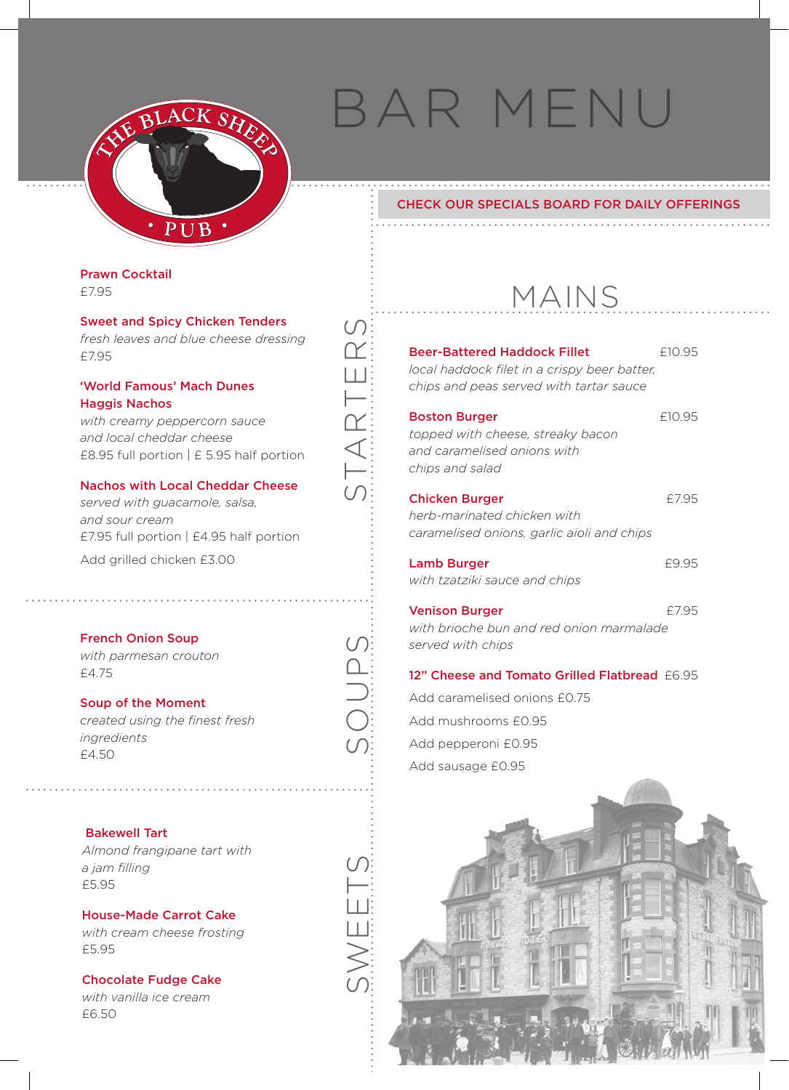

# bar menu

# Check our Specials Board for daily offerings

. . . . . . . . . . . . . .

Prawn Cocktail £7.95

Sweet and Spicy Chicken Tenders *fresh leaves and blue cheese dressing* £7.95

'World Famous' Mach Dunes Haggis Nachos

*with creamy peppercorn sauce and local cheddar cheese*  £8.95 full portion | £ 5.95 half portion

### Nachos with Local Cheddar Cheese

*served with guacamole, salsa, and sour cream*  £7.95 full portion | £4.95 half portion Add grilled chicken £3.00

French Onion Soup *with parmesan crouton* £4.75

# Soup of the Moment

*created using the finest fresh ingredients* £4.50

#### Bakewell Tart

*Almond frangipane tart with a jam filling* £5.95

House-Made Carrot Cake *with cream cheese frosting* £5.95

Chocolate Fudge Cake *with vanilla ice cream*  £6.50

| ۰ | $\cdots$ |  |  |  |  |  |  |  |  | . |  |  |  |  |  |
|---|----------|--|--|--|--|--|--|--|--|---|--|--|--|--|--|

| <b>Beer-Battered Haddock Fillet</b><br>local haddock filet in a crispy beer batter,<br>chips and peas served with tartar sauce | £10.95 |
|--------------------------------------------------------------------------------------------------------------------------------|--------|
| <b>Boston Burger</b><br>topped with cheese, streaky bacon<br>and caramelised onions with<br>chips and salad                    | £10.95 |
| <b>Chicken Burger</b><br>herb-marinated chicken with<br>caramelised onions, garlic aioli and chips                             | £7.95  |
| <b>Lamb Burger</b><br>with tzatziki sauce and chips                                                                            | £9.95  |
| <b>Venison Burger</b><br>with brioche bun and red onion marmalade<br>served with chips                                         | £7.95  |

### 12" Cheese and Tomato Grilled Flatbread £6.95

Add caramelised onions £0.75 Add mushrooms £0.95 Add pepperoni £0.95 Add sausage £0.95

soups

 $\cup$ 

st

arters

 $\cup$  $\overline{\gamma}$ Ш